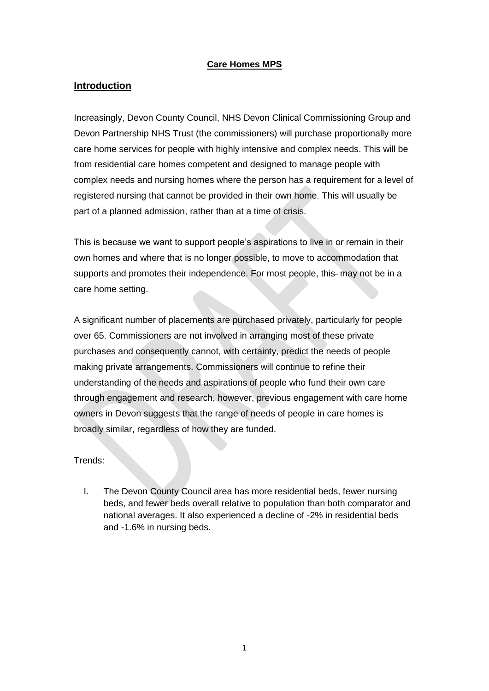#### **Care Homes MPS**

#### **Introduction**

Increasingly, Devon County Council, NHS Devon Clinical Commissioning Group and Devon Partnership NHS Trust (the commissioners) will purchase proportionally more care home services for people with highly intensive and complex needs. This will be from residential care homes competent and designed to manage people with complex needs and nursing homes where the person has a requirement for a level of registered nursing that cannot be provided in their own home. This will usually be part of a planned admission, rather than at a time of crisis.

This is because we want to support people's aspirations to live in or remain in their own homes and where that is no longer possible, to move to accommodation that supports and promotes their independence. For most people, this- may not be in a care home setting.

A significant number of placements are purchased privately, particularly for people over 65. Commissioners are not involved in arranging most of these private purchases and consequently cannot, with certainty, predict the needs of people making private arrangements. Commissioners will continue to refine their understanding of the needs and aspirations of people who fund their own care through engagement and research, however, previous engagement with care home owners in Devon suggests that the range of needs of people in care homes is broadly similar, regardless of how they are funded.

Trends:

I. The Devon County Council area has more residential beds, fewer nursing beds, and fewer beds overall relative to population than both comparator and national averages. It also experienced a decline of -2% in residential beds and -1.6% in nursing beds.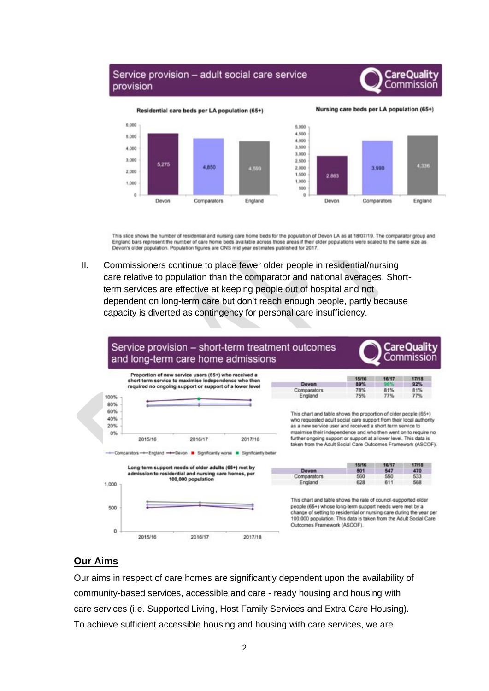### Service provision - adult social care service provision





Nursing care beds per LA population (65+)



This slide shows the number of residential and nursing care home beds for the population of Devon LA as at 18/07/19. The comparator group and England bars represent the number of care home beds available across those areas if their older populations were scaled to the same size as Devon's older population. Population figures are ONS mid year estimates published for 2017.

II. Commissioners continue to place fewer older people in residential/nursing care relative to population than the comparator and national averages. Shortterm services are effective at keeping people out of hospital and not dependent on long-term care but don't reach enough people, partly because capacity is diverted as contingency for personal care insufficiency.



### **Our Aims**

Our aims in respect of care homes are significantly dependent upon the availability of community-based services, accessible and care - ready housing and housing with care services (i.e. Supported Living, Host Family Services and Extra Care Housing). To achieve sufficient accessible housing and housing with care services, we are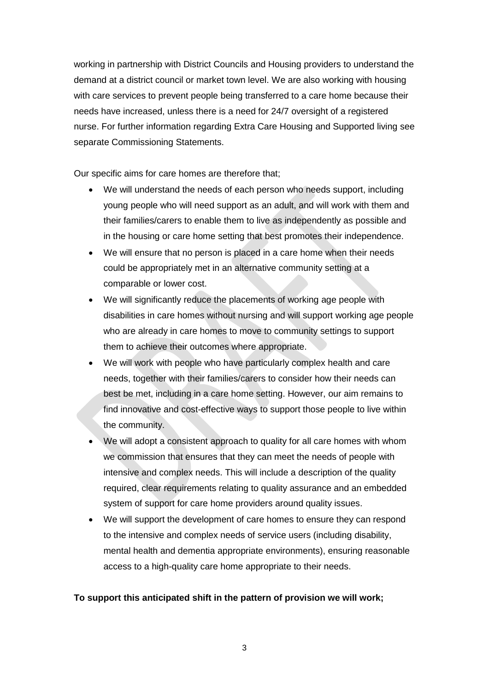working in partnership with District Councils and Housing providers to understand the demand at a district council or market town level. We are also working with housing with care services to prevent people being transferred to a care home because their needs have increased, unless there is a need for 24/7 oversight of a registered nurse. For further information regarding Extra Care Housing and Supported living see separate Commissioning Statements.

Our specific aims for care homes are therefore that;

- We will understand the needs of each person who needs support, including young people who will need support as an adult, and will work with them and their families/carers to enable them to live as independently as possible and in the housing or care home setting that best promotes their independence.
- We will ensure that no person is placed in a care home when their needs could be appropriately met in an alternative community setting at a comparable or lower cost.
- We will significantly reduce the placements of working age people with disabilities in care homes without nursing and will support working age people who are already in care homes to move to community settings to support them to achieve their outcomes where appropriate.
- We will work with people who have particularly complex health and care needs, together with their families/carers to consider how their needs can best be met, including in a care home setting. However, our aim remains to find innovative and cost-effective ways to support those people to live within the community.
- We will adopt a consistent approach to quality for all care homes with whom we commission that ensures that they can meet the needs of people with intensive and complex needs. This will include a description of the quality required, clear requirements relating to quality assurance and an embedded system of support for care home providers around quality issues.
- We will support the development of care homes to ensure they can respond to the intensive and complex needs of service users (including disability, mental health and dementia appropriate environments), ensuring reasonable access to a high-quality care home appropriate to their needs.

### **To support this anticipated shift in the pattern of provision we will work;**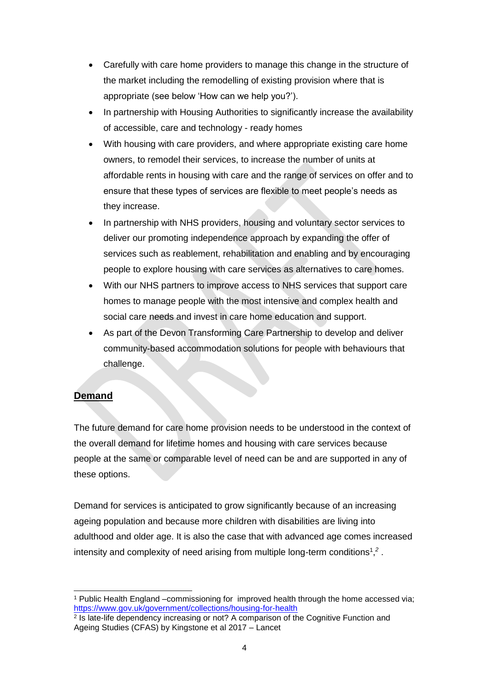- Carefully with care home providers to manage this change in the structure of the market including the remodelling of existing provision where that is appropriate (see below 'How can we help you?').
- In partnership with Housing Authorities to significantly increase the availability of accessible, care and technology - ready homes
- With housing with care providers, and where appropriate existing care home owners, to remodel their services, to increase the number of units at affordable rents in housing with care and the range of services on offer and to ensure that these types of services are flexible to meet people's needs as they increase.
- In partnership with NHS providers, housing and voluntary sector services to deliver our promoting independence approach by expanding the offer of services such as reablement, rehabilitation and enabling and by encouraging people to explore housing with care services as alternatives to care homes.
- With our NHS partners to improve access to NHS services that support care homes to manage people with the most intensive and complex health and social care needs and invest in care home education and support.
- As part of the Devon Transforming Care Partnership to develop and deliver community-based accommodation solutions for people with behaviours that challenge.

## **Demand**

The future demand for care home provision needs to be understood in the context of the overall demand for lifetime homes and housing with care services because people at the same or comparable level of need can be and are supported in any of these options.

Demand for services is anticipated to grow significantly because of an increasing ageing population and because more children with disabilities are living into adulthood and older age. It is also the case that with advanced age comes increased intensity and complexity of need arising from multiple long-term conditions<sup>1</sup>,<sup>2</sup>.

<sup>-</sup><sup>1</sup> Public Health England –commissioning for improved health through the home accessed via; <https://www.gov.uk/government/collections/housing-for-health>

<sup>&</sup>lt;sup>2</sup> Is late-life dependency increasing or not? A comparison of the Cognitive Function and Ageing Studies (CFAS) by Kingstone et al 2017 – Lancet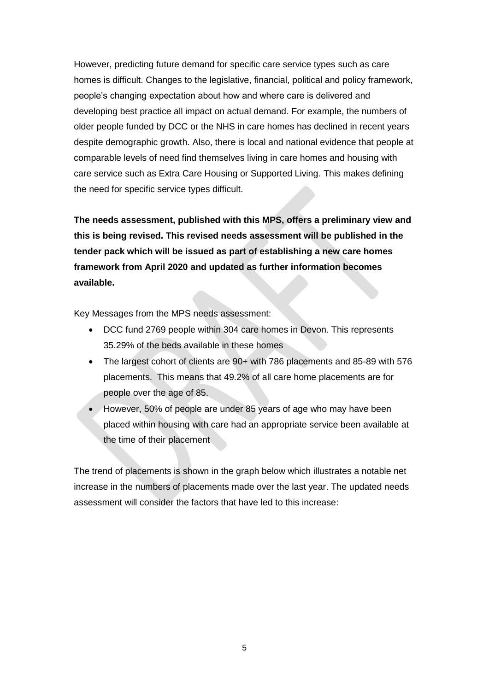However, predicting future demand for specific care service types such as care homes is difficult. Changes to the legislative, financial, political and policy framework, people's changing expectation about how and where care is delivered and developing best practice all impact on actual demand. For example, the numbers of older people funded by DCC or the NHS in care homes has declined in recent years despite demographic growth. Also, there is local and national evidence that people at comparable levels of need find themselves living in care homes and housing with care service such as Extra Care Housing or Supported Living. This makes defining the need for specific service types difficult.

**The needs assessment, published with this MPS, offers a preliminary view and this is being revised. This revised needs assessment will be published in the tender pack which will be issued as part of establishing a new care homes framework from April 2020 and updated as further information becomes available.**

Key Messages from the MPS needs assessment:

- DCC fund 2769 people within 304 care homes in Devon. This represents 35.29% of the beds available in these homes
- The largest cohort of clients are 90+ with 786 placements and 85-89 with 576 placements. This means that 49.2% of all care home placements are for people over the age of 85.
- However, 50% of people are under 85 years of age who may have been placed within housing with care had an appropriate service been available at the time of their placement

The trend of placements is shown in the graph below which illustrates a notable net increase in the numbers of placements made over the last year. The updated needs assessment will consider the factors that have led to this increase: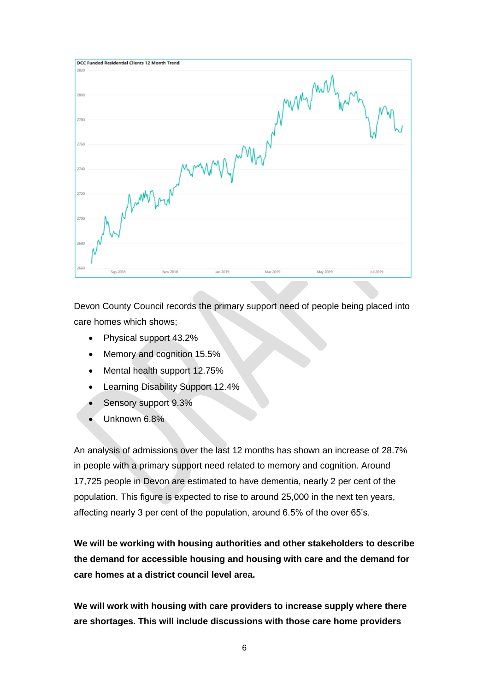

Devon County Council records the primary support need of people being placed into care homes which shows;

- Physical support 43.2%
- Memory and cognition 15.5%
- Mental health support 12.75%
- Learning Disability Support 12.4%
- Sensory support 9.3%
- Unknown 6.8%

An analysis of admissions over the last 12 months has shown an increase of 28.7% in people with a primary support need related to memory and cognition. Around 17,725 people in Devon are estimated to have dementia, nearly 2 per cent of the population. This figure is expected to rise to around 25,000 in the next ten years, affecting nearly 3 per cent of the population, around 6.5% of the over 65's.

**We will be working with housing authorities and other stakeholders to describe the demand for accessible housing and housing with care and the demand for care homes at a district council level area.** 

**We will work with housing with care providers to increase supply where there are shortages. This will include discussions with those care home providers**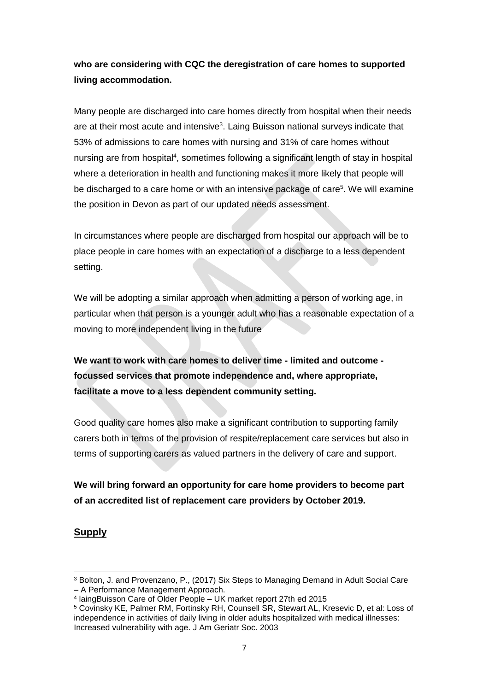**who are considering with CQC the deregistration of care homes to supported living accommodation.**

Many people are discharged into care homes directly from hospital when their needs are at their most acute and intensive<sup>3</sup>. Laing Buisson national surveys indicate that 53% of admissions to care homes with nursing and 31% of care homes without nursing are from hospital<sup>4</sup>, sometimes following a significant length of stay in hospital where a deterioration in health and functioning makes it more likely that people will be discharged to a care home or with an intensive package of care<sup>5</sup>. We will examine the position in Devon as part of our updated needs assessment.

In circumstances where people are discharged from hospital our approach will be to place people in care homes with an expectation of a discharge to a less dependent setting.

We will be adopting a similar approach when admitting a person of working age, in particular when that person is a younger adult who has a reasonable expectation of a moving to more independent living in the future

**We want to work with care homes to deliver time - limited and outcome focussed services that promote independence and, where appropriate, facilitate a move to a less dependent community setting.**

Good quality care homes also make a significant contribution to supporting family carers both in terms of the provision of respite/replacement care services but also in terms of supporting carers as valued partners in the delivery of care and support.

**We will bring forward an opportunity for care home providers to become part of an accredited list of replacement care providers by October 2019.** 

### **Supply**

1

<sup>3</sup> Bolton, J. and Provenzano, P., (2017) Six Steps to Managing Demand in Adult Social Care – A Performance Management Approach.

<sup>4</sup> laingBuisson Care of Older People – UK market report 27th ed 2015

<sup>5</sup> Covinsky KE, Palmer RM, Fortinsky RH, Counsell SR, Stewart AL, Kresevic D, et al: Loss of independence in activities of daily living in older adults hospitalized with medical illnesses: Increased vulnerability with age. J Am Geriatr Soc. 2003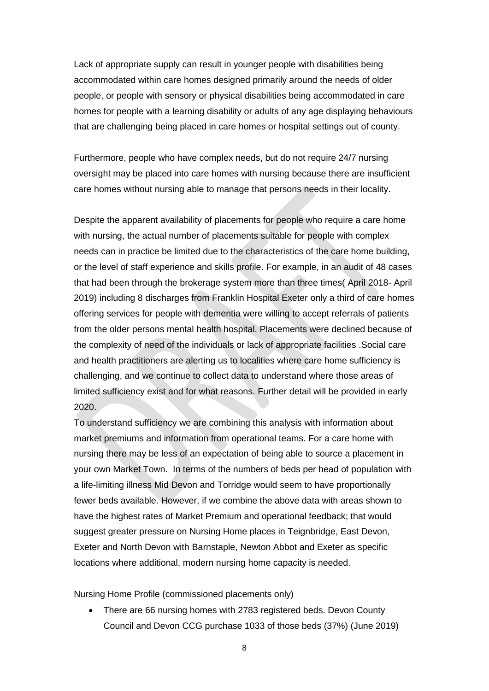Lack of appropriate supply can result in younger people with disabilities being accommodated within care homes designed primarily around the needs of older people, or people with sensory or physical disabilities being accommodated in care homes for people with a learning disability or adults of any age displaying behaviours that are challenging being placed in care homes or hospital settings out of county.

Furthermore, people who have complex needs, but do not require 24/7 nursing oversight may be placed into care homes with nursing because there are insufficient care homes without nursing able to manage that persons needs in their locality.

Despite the apparent availability of placements for people who require a care home with nursing, the actual number of placements suitable for people with complex needs can in practice be limited due to the characteristics of the care home building, or the level of staff experience and skills profile. For example, in an audit of 48 cases that had been through the brokerage system more than three times( April 2018- April 2019) including 8 discharges from Franklin Hospital Exeter only a third of care homes offering services for people with dementia were willing to accept referrals of patients from the older persons mental health hospital. Placements were declined because of the complexity of need of the individuals or lack of appropriate facilities .Social care and health practitioners are alerting us to localities where care home sufficiency is challenging, and we continue to collect data to understand where those areas of limited sufficiency exist and for what reasons. Further detail will be provided in early 2020.

To understand sufficiency we are combining this analysis with information about market premiums and information from operational teams. For a care home with nursing there may be less of an expectation of being able to source a placement in your own Market Town. In terms of the numbers of beds per head of population with a life-limiting illness Mid Devon and Torridge would seem to have proportionally fewer beds available. However, if we combine the above data with areas shown to have the highest rates of Market Premium and operational feedback; that would suggest greater pressure on Nursing Home places in Teignbridge, East Devon, Exeter and North Devon with Barnstaple, Newton Abbot and Exeter as specific locations where additional, modern nursing home capacity is needed.

Nursing Home Profile (commissioned placements only)

• There are 66 nursing homes with 2783 registered beds. Devon County Council and Devon CCG purchase 1033 of those beds (37%) (June 2019)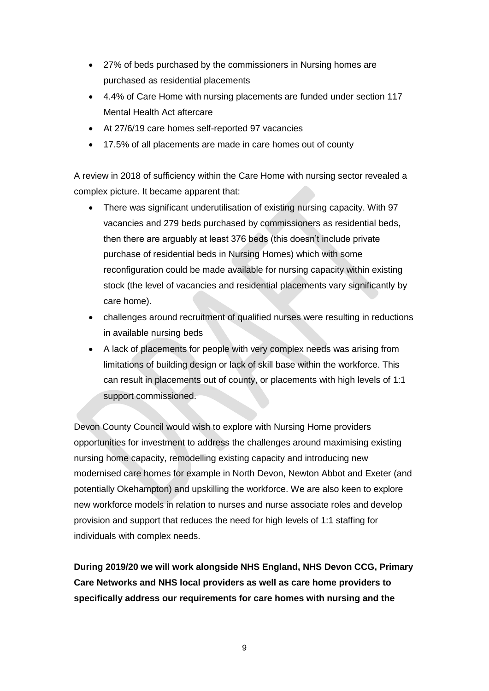- 27% of beds purchased by the commissioners in Nursing homes are purchased as residential placements
- 4.4% of Care Home with nursing placements are funded under section 117 Mental Health Act aftercare
- At 27/6/19 care homes self-reported 97 vacancies
- 17.5% of all placements are made in care homes out of county

A review in 2018 of sufficiency within the Care Home with nursing sector revealed a complex picture. It became apparent that:

- There was significant underutilisation of existing nursing capacity. With 97 vacancies and 279 beds purchased by commissioners as residential beds, then there are arguably at least 376 beds (this doesn't include private purchase of residential beds in Nursing Homes) which with some reconfiguration could be made available for nursing capacity within existing stock (the level of vacancies and residential placements vary significantly by care home).
- challenges around recruitment of qualified nurses were resulting in reductions in available nursing beds
- A lack of placements for people with very complex needs was arising from limitations of building design or lack of skill base within the workforce. This can result in placements out of county, or placements with high levels of 1:1 support commissioned.

Devon County Council would wish to explore with Nursing Home providers opportunities for investment to address the challenges around maximising existing nursing home capacity, remodelling existing capacity and introducing new modernised care homes for example in North Devon, Newton Abbot and Exeter (and potentially Okehampton) and upskilling the workforce. We are also keen to explore new workforce models in relation to nurses and nurse associate roles and develop provision and support that reduces the need for high levels of 1:1 staffing for individuals with complex needs.

**During 2019/20 we will work alongside NHS England, NHS Devon CCG, Primary Care Networks and NHS local providers as well as care home providers to specifically address our requirements for care homes with nursing and the**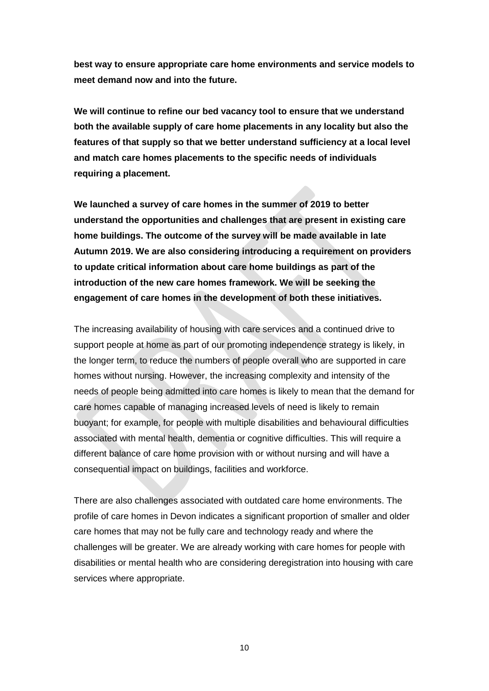**best way to ensure appropriate care home environments and service models to meet demand now and into the future.**

**We will continue to refine our bed vacancy tool to ensure that we understand both the available supply of care home placements in any locality but also the features of that supply so that we better understand sufficiency at a local level and match care homes placements to the specific needs of individuals requiring a placement.** 

**We launched a survey of care homes in the summer of 2019 to better understand the opportunities and challenges that are present in existing care home buildings. The outcome of the survey will be made available in late Autumn 2019. We are also considering introducing a requirement on providers to update critical information about care home buildings as part of the introduction of the new care homes framework. We will be seeking the engagement of care homes in the development of both these initiatives.** 

The increasing availability of housing with care services and a continued drive to support people at home as part of our promoting independence strategy is likely, in the longer term, to reduce the numbers of people overall who are supported in care homes without nursing. However, the increasing complexity and intensity of the needs of people being admitted into care homes is likely to mean that the demand for care homes capable of managing increased levels of need is likely to remain buoyant; for example, for people with multiple disabilities and behavioural difficulties associated with mental health, dementia or cognitive difficulties. This will require a different balance of care home provision with or without nursing and will have a consequential impact on buildings, facilities and workforce.

There are also challenges associated with outdated care home environments. The profile of care homes in Devon indicates a significant proportion of smaller and older care homes that may not be fully care and technology ready and where the challenges will be greater. We are already working with care homes for people with disabilities or mental health who are considering deregistration into housing with care services where appropriate.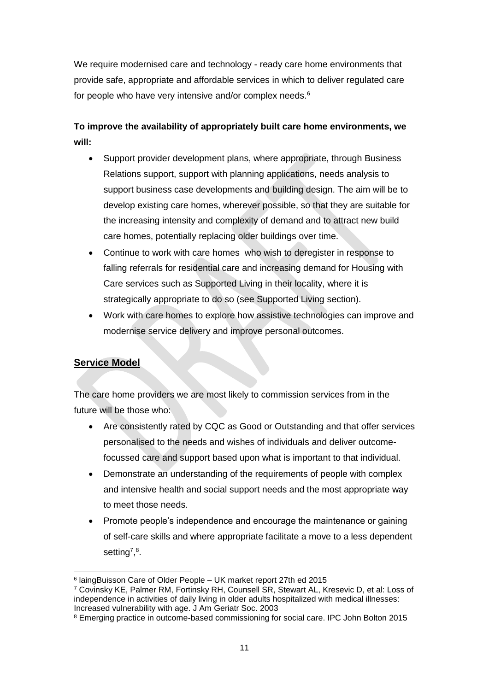We require modernised care and technology - ready care home environments that provide safe, appropriate and affordable services in which to deliver regulated care for people who have very intensive and/or complex needs.<sup>6</sup>

# **To improve the availability of appropriately built care home environments, we will:**

- Support provider development plans, where appropriate, through Business Relations support, support with planning applications, needs analysis to support business case developments and building design. The aim will be to develop existing care homes, wherever possible, so that they are suitable for the increasing intensity and complexity of demand and to attract new build care homes, potentially replacing older buildings over time.
- Continue to work with care homes who wish to deregister in response to falling referrals for residential care and increasing demand for Housing with Care services such as Supported Living in their locality, where it is strategically appropriate to do so (see Supported Living section).
- Work with care homes to explore how assistive technologies can improve and modernise service delivery and improve personal outcomes.

### **Service Model**

1

The care home providers we are most likely to commission services from in the future will be those who:

- Are consistently rated by CQC as Good or Outstanding and that offer services personalised to the needs and wishes of individuals and deliver outcomefocussed care and support based upon what is important to that individual.
- Demonstrate an understanding of the requirements of people with complex and intensive health and social support needs and the most appropriate way to meet those needs.
- Promote people's independence and encourage the maintenance or gaining of self-care skills and where appropriate facilitate a move to a less dependent setting<sup>7,8</sup>.

<sup>6</sup> laingBuisson Care of Older People – UK market report 27th ed 2015

<sup>7</sup> Covinsky KE, Palmer RM, Fortinsky RH, Counsell SR, Stewart AL, Kresevic D, et al: Loss of independence in activities of daily living in older adults hospitalized with medical illnesses: Increased vulnerability with age. J Am Geriatr Soc. 2003

<sup>8</sup> Emerging practice in outcome-based commissioning for social care. IPC John Bolton 2015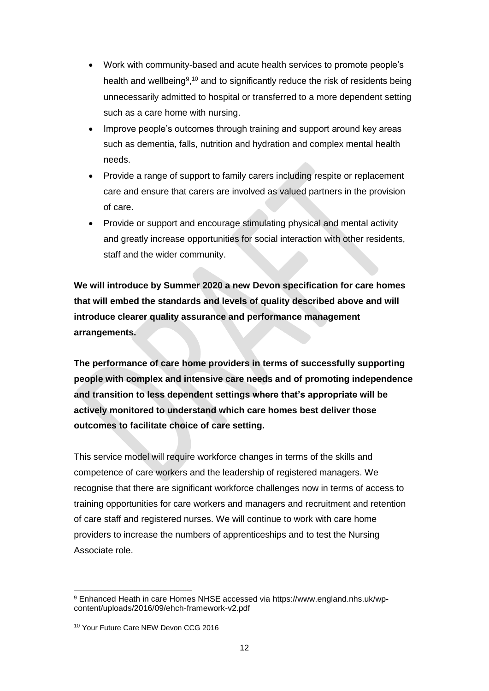- Work with community-based and acute health services to promote people's health and wellbeing<sup>9,10</sup> and to significantly reduce the risk of residents being unnecessarily admitted to hospital or transferred to a more dependent setting such as a care home with nursing.
- Improve people's outcomes through training and support around key areas such as dementia, falls, nutrition and hydration and complex mental health needs.
- Provide a range of support to family carers including respite or replacement care and ensure that carers are involved as valued partners in the provision of care.
- Provide or support and encourage stimulating physical and mental activity and greatly increase opportunities for social interaction with other residents, staff and the wider community.

**We will introduce by Summer 2020 a new Devon specification for care homes that will embed the standards and levels of quality described above and will introduce clearer quality assurance and performance management arrangements.** 

**The performance of care home providers in terms of successfully supporting people with complex and intensive care needs and of promoting independence and transition to less dependent settings where that's appropriate will be actively monitored to understand which care homes best deliver those outcomes to facilitate choice of care setting.** 

This service model will require workforce changes in terms of the skills and competence of care workers and the leadership of registered managers. We recognise that there are significant workforce challenges now in terms of access to training opportunities for care workers and managers and recruitment and retention of care staff and registered nurses. We will continue to work with care home providers to increase the numbers of apprenticeships and to test the Nursing Associate role.

-

<sup>9</sup> Enhanced Heath in care Homes NHSE accessed via https://www.england.nhs.uk/wpcontent/uploads/2016/09/ehch-framework-v2.pdf

<sup>10</sup> Your Future Care NEW Devon CCG 2016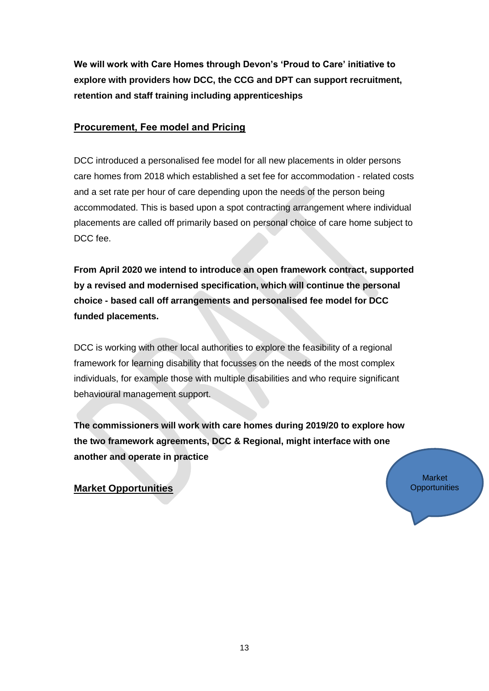**We will work with Care Homes through Devon's 'Proud to Care' initiative to explore with providers how DCC, the CCG and DPT can support recruitment, retention and staff training including apprenticeships**

### **Procurement, Fee model and Pricing**

DCC introduced a personalised fee model for all new placements in older persons care homes from 2018 which established a set fee for accommodation - related costs and a set rate per hour of care depending upon the needs of the person being accommodated. This is based upon a spot contracting arrangement where individual placements are called off primarily based on personal choice of care home subject to DCC fee.

**From April 2020 we intend to introduce an open framework contract, supported by a revised and modernised specification, which will continue the personal choice - based call off arrangements and personalised fee model for DCC funded placements.** 

DCC is working with other local authorities to explore the feasibility of a regional framework for learning disability that focusses on the needs of the most complex individuals, for example those with multiple disabilities and who require significant behavioural management support.

**The commissioners will work with care homes during 2019/20 to explore how the two framework agreements, DCC & Regional, might interface with one another and operate in practice** 

> Market **Opportunities**

**Market Opportunities**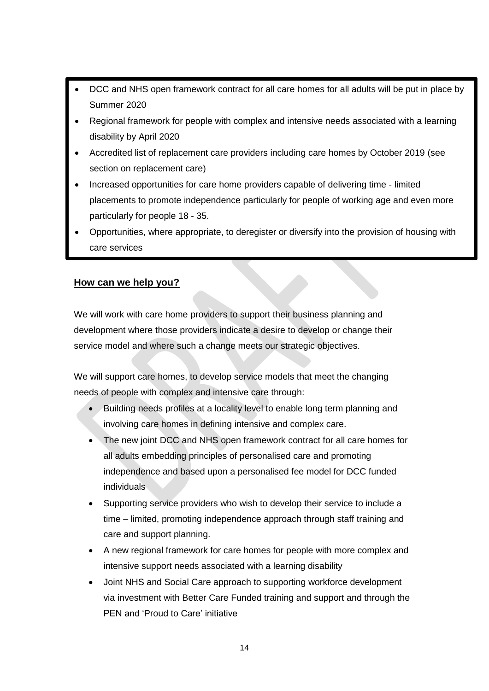- DCC and NHS open framework contract for all care homes for all adults will be put in place by Summer 2020
- Regional framework for people with complex and intensive needs associated with a learning disability by April 2020
- Accredited list of replacement care providers including care homes by October 2019 (see section on replacement care)
- Increased opportunities for care home providers capable of delivering time limited placements to promote independence particularly for people of working age and even more particularly for people 18 - 35.
- Opportunities, where appropriate, to deregister or diversify into the provision of housing with care services

### **How can we help you?**

We will work with care home providers to support their business planning and development where those providers indicate a desire to develop or change their service model and where such a change meets our strategic objectives.

We will support care homes, to develop service models that meet the changing needs of people with complex and intensive care through:

- Building needs profiles at a locality level to enable long term planning and involving care homes in defining intensive and complex care.
- The new joint DCC and NHS open framework contract for all care homes for all adults embedding principles of personalised care and promoting independence and based upon a personalised fee model for DCC funded individuals
- Supporting service providers who wish to develop their service to include a time – limited, promoting independence approach through staff training and care and support planning.
- A new regional framework for care homes for people with more complex and intensive support needs associated with a learning disability
- Joint NHS and Social Care approach to supporting workforce development via investment with Better Care Funded training and support and through the PEN and 'Proud to Care' initiative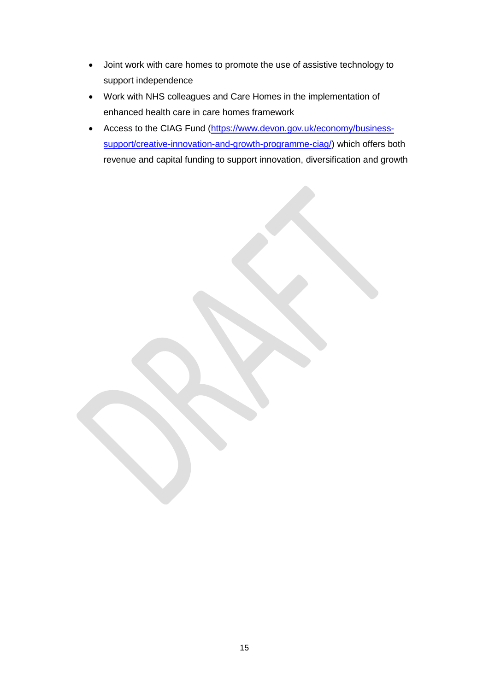- Joint work with care homes to promote the use of assistive technology to support independence
- Work with NHS colleagues and Care Homes in the implementation of enhanced health care in care homes framework
- Access to the CIAG Fund [\(https://www.devon.gov.uk/economy/business](https://www.devon.gov.uk/economy/business-support/creative-innovation-and-growth-programme-ciag/)[support/creative-innovation-and-growth-programme-ciag/\)](https://www.devon.gov.uk/economy/business-support/creative-innovation-and-growth-programme-ciag/) which offers both revenue and capital funding to support innovation, diversification and growth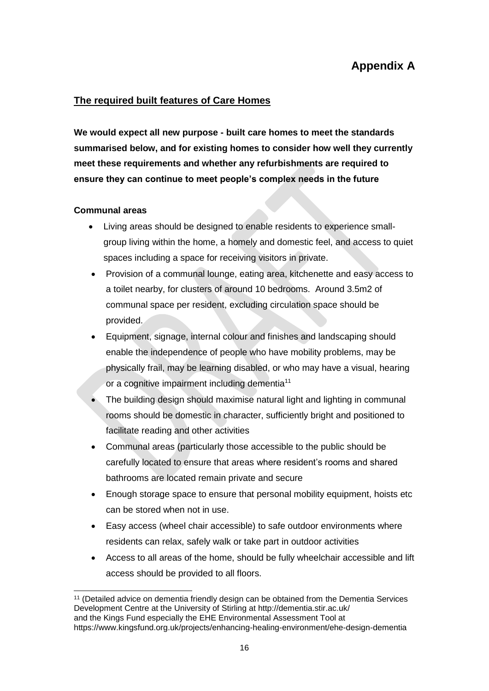# **Appendix A**

### **The required built features of Care Homes**

**We would expect all new purpose - built care homes to meet the standards summarised below, and for existing homes to consider how well they currently meet these requirements and whether any refurbishments are required to ensure they can continue to meet people's complex needs in the future**

### **Communal areas**

- Living areas should be designed to enable residents to experience smallgroup living within the home, a homely and domestic feel, and access to quiet spaces including a space for receiving visitors in private.
- Provision of a communal lounge, eating area, kitchenette and easy access to a toilet nearby, for clusters of around 10 bedrooms. Around 3.5m2 of communal space per resident, excluding circulation space should be provided.
- Equipment, signage, internal colour and finishes and landscaping should enable the independence of people who have mobility problems, may be physically frail, may be learning disabled, or who may have a visual, hearing or a cognitive impairment including dementia<sup>11</sup>
- The building design should maximise natural light and lighting in communal rooms should be domestic in character, sufficiently bright and positioned to facilitate reading and other activities
- Communal areas (particularly those accessible to the public should be carefully located to ensure that areas where resident's rooms and shared bathrooms are located remain private and secure
- Enough storage space to ensure that personal mobility equipment, hoists etc can be stored when not in use.
- Easy access (wheel chair accessible) to safe outdoor environments where residents can relax, safely walk or take part in outdoor activities
- Access to all areas of the home, should be fully wheelchair accessible and lift access should be provided to all floors.

<sup>-</sup><sup>11</sup> (Detailed advice on dementia friendly design can be obtained from the Dementia Services Development Centre at the University of Stirling at http://dementia.stir.ac.uk/ and the Kings Fund especially the EHE Environmental Assessment Tool at https://www.kingsfund.org.uk/projects/enhancing-healing-environment/ehe-design-dementia